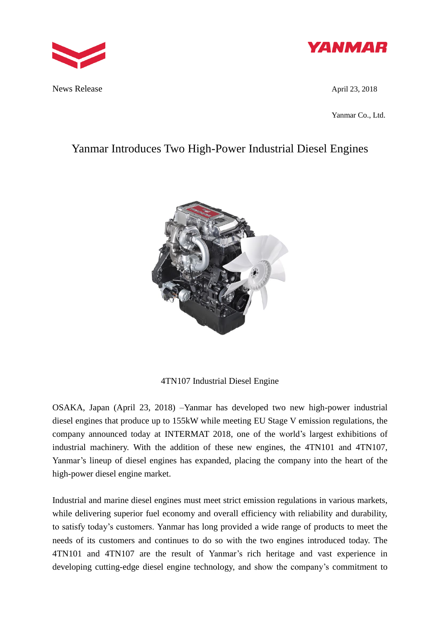

News Release April 23, 2018



Yanmar Co., Ltd.

# Yanmar Introduces Two High-Power Industrial Diesel Engines



4TN107 Industrial Diesel Engine

OSAKA, Japan (April 23, 2018) –Yanmar has developed two new high-power industrial diesel engines that produce up to 155kW while meeting EU Stage V emission regulations, the company announced today at INTERMAT 2018, one of the world's largest exhibitions of industrial machinery. With the addition of these new engines, the 4TN101 and 4TN107, Yanmar's lineup of diesel engines has expanded, placing the company into the heart of the high-power diesel engine market.

Industrial and marine diesel engines must meet strict emission regulations in various markets, while delivering superior fuel economy and overall efficiency with reliability and durability, to satisfy today's customers. Yanmar has long provided a wide range of products to meet the needs of its customers and continues to do so with the two engines introduced today. The 4TN101 and 4TN107 are the result of Yanmar's rich heritage and vast experience in developing cutting-edge diesel engine technology, and show the company's commitment to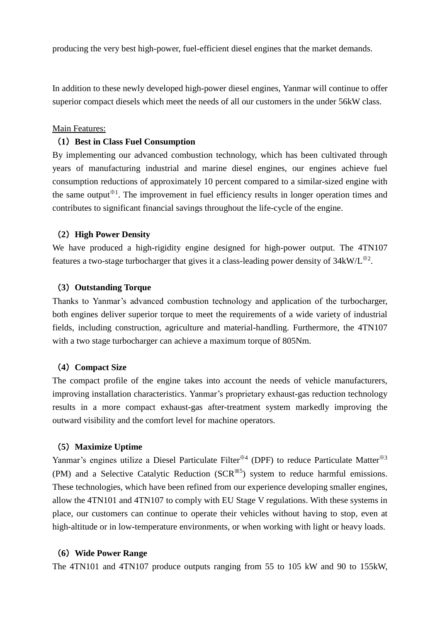producing the very best high-power, fuel-efficient diesel engines that the market demands.

In addition to these newly developed high-power diesel engines, Yanmar will continue to offer superior compact diesels which meet the needs of all our customers in the under 56kW class.

#### Main Features:

#### (**1**)**Best in Class Fuel Consumption**

By implementing our advanced combustion technology, which has been cultivated through years of manufacturing industrial and marine diesel engines, our engines achieve fuel consumption reductions of approximately 10 percent compared to a similar-sized engine with the same output<sup> $*1$ </sup>. The improvement in fuel efficiency results in longer operation times and contributes to significant financial savings throughout the life-cycle of the engine.

#### (**2**)**High Power Density**

We have produced a high-rigidity engine designed for high-power output. The 4TN107 features a two-stage turbocharger that gives it a class-leading power density of 34kW/L<sup>\*2</sup>.

## (**3**)**Outstanding Torque**

Thanks to Yanmar's advanced combustion technology and application of the turbocharger, both engines deliver superior torque to meet the requirements of a wide variety of industrial fields, including construction, agriculture and material-handling. Furthermore, the 4TN107 with a two stage turbocharger can achieve a maximum torque of 805Nm.

## (**4**)**Compact Size**

The compact profile of the engine takes into account the needs of vehicle manufacturers, improving installation characteristics. Yanmar's proprietary exhaust-gas reduction technology results in a more compact exhaust-gas after-treatment system markedly improving the outward visibility and the comfort level for machine operators.

#### (**5**)**Maximize Uptime**

Yanmar's engines utilize a Diesel Particulate Filter<sup>※4</sup> (DPF) to reduce Particulate Matter<sup>※3</sup> (PM) and a Selective Catalytic Reduction  $(SCR^{35})$  system to reduce harmful emissions. These technologies, which have been refined from our experience developing smaller engines, allow the 4TN101 and 4TN107 to comply with EU Stage V regulations. With these systems in place, our customers can continue to operate their vehicles without having to stop, even at high-altitude or in low-temperature environments, or when working with light or heavy loads.

## (**6**)**Wide Power Range**

The 4TN101 and 4TN107 produce outputs ranging from 55 to 105 kW and 90 to 155kW,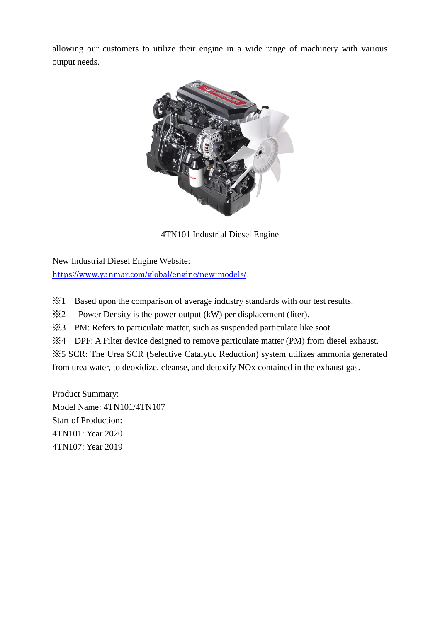allowing our customers to utilize their engine in a wide range of machinery with various output needs.



4TN101 Industrial Diesel Engine

New Industrial Diesel Engine Website: <https://www.yanmar.com/global/engine/new-models/>

※1 Based upon the comparison of average industry standards with our test results.

 $\&2$  Power Density is the power output (kW) per displacement (liter).

※3 PM: Refers to particulate matter, such as suspended particulate like soot.

※4 DPF: A Filter device designed to remove particulate matter (PM) from diesel exhaust.

※5 SCR: The Urea SCR (Selective Catalytic Reduction) system utilizes ammonia generated from urea water, to deoxidize, cleanse, and detoxify NOx contained in the exhaust gas.

Product Summary: Model Name: 4TN101/4TN107 Start of Production: 4TN101: Year 2020 4TN107: Year 2019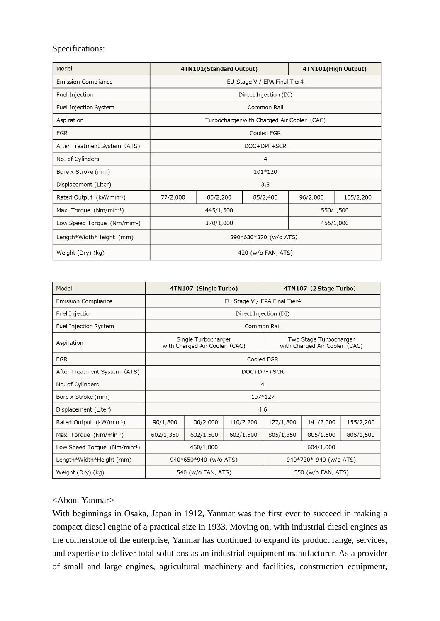## Specifications:

| Model                        |                                            | 4TN101(Standard Output) |          | 4TN101(High Output) |           |  |  |
|------------------------------|--------------------------------------------|-------------------------|----------|---------------------|-----------|--|--|
| <b>Emission Compliance</b>   | EU Stage V / EPA Final Tier4               |                         |          |                     |           |  |  |
| Fuel Injection               | Direct Injection (DI)                      |                         |          |                     |           |  |  |
| Fuel Injection System        | Common Rail                                |                         |          |                     |           |  |  |
| Aspiration                   | Turbocharger with Charged Air Cooler (CAC) |                         |          |                     |           |  |  |
| <b>EGR</b>                   | Cooled EGR                                 |                         |          |                     |           |  |  |
| After Treatment System (ATS) | DOC+DPF+SCR                                |                         |          |                     |           |  |  |
| No. of Cylinders             | 4                                          |                         |          |                     |           |  |  |
| Bore x Stroke (mm)           | 101*120                                    |                         |          |                     |           |  |  |
| Displacement (Liter)         | 3.8                                        |                         |          |                     |           |  |  |
| Rated Output (kW/min-1)      | 77/2,000                                   | 85/2,200                | 85/2,400 | 96/2,000            | 105/2,200 |  |  |
| Max. Torque $(Nm/min^{-1})$  | 445/1,500                                  |                         |          | 550/1,500           |           |  |  |
| Low Speed Torque (Nm/min-1)  | 370/1,000                                  |                         |          | 455/1,000           |           |  |  |
| Length*Width*Height (mm)     | 890*630*870 (w/o ATS)                      |                         |          |                     |           |  |  |
| Weight (Dry) (kg)            | 420 (w/o FAN, ATS)                         |                         |          |                     |           |  |  |

| Model                        |                                                      | 4TN107 (Single Turbo)<br>4TN107 (2 Stage Turbo) |           |                                                         |           |           |  |  |
|------------------------------|------------------------------------------------------|-------------------------------------------------|-----------|---------------------------------------------------------|-----------|-----------|--|--|
| Emission Compliance          | EU Stage V / EPA Final Tier4                         |                                                 |           |                                                         |           |           |  |  |
| Fuel Injection               | Direct Injection (DI)                                |                                                 |           |                                                         |           |           |  |  |
| Fuel Injection System        | Common Rail                                          |                                                 |           |                                                         |           |           |  |  |
| Aspiration                   | Single Turbocharger<br>with Charged Air Cooler (CAC) |                                                 |           | Two Stage Turbocharger<br>with Charged Air Cooler (CAC) |           |           |  |  |
| <b>EGR</b>                   | Cooled EGR                                           |                                                 |           |                                                         |           |           |  |  |
| After Treatment System (ATS) | DOC+DPF+SCR                                          |                                                 |           |                                                         |           |           |  |  |
| No. of Cylinders             | 4                                                    |                                                 |           |                                                         |           |           |  |  |
| Bore x Stroke (mm)           | 107*127                                              |                                                 |           |                                                         |           |           |  |  |
| Displacement (Liter)         | 4.6                                                  |                                                 |           |                                                         |           |           |  |  |
| Rated Output (kW/min-1)      | 90/1,800                                             | 100/2,000                                       | 110/2,200 | 127/1,800                                               | 141/2,000 | 155/2,200 |  |  |
| Max. Torque (Nm/min-1)       | 602/1,350                                            | 602/1,500                                       | 602/1,500 | 805/1,350                                               | 805/1,500 | 805/1,500 |  |  |
| Low Speed Torque (Nm/min-1)  | 460/1,000                                            |                                                 |           | 604/1,000                                               |           |           |  |  |
| Length*Width*Height (mm)     |                                                      | 940*650*940 (w/o ATS)                           |           | 940*730* 940 (w/o ATS)                                  |           |           |  |  |
| Weight (Dry) (kg)            | 540 (w/o FAN, ATS)                                   |                                                 |           | 550 (w/o FAN, ATS)                                      |           |           |  |  |

# <About Yanmar>

With beginnings in Osaka, Japan in 1912, Yanmar was the first ever to succeed in making a compact diesel engine of a practical size in 1933. Moving on, with industrial diesel engines as the cornerstone of the enterprise, Yanmar has continued to expand its product range, services, and expertise to deliver total solutions as an industrial equipment manufacturer. As a provider of small and large engines, agricultural machinery and facilities, construction equipment,